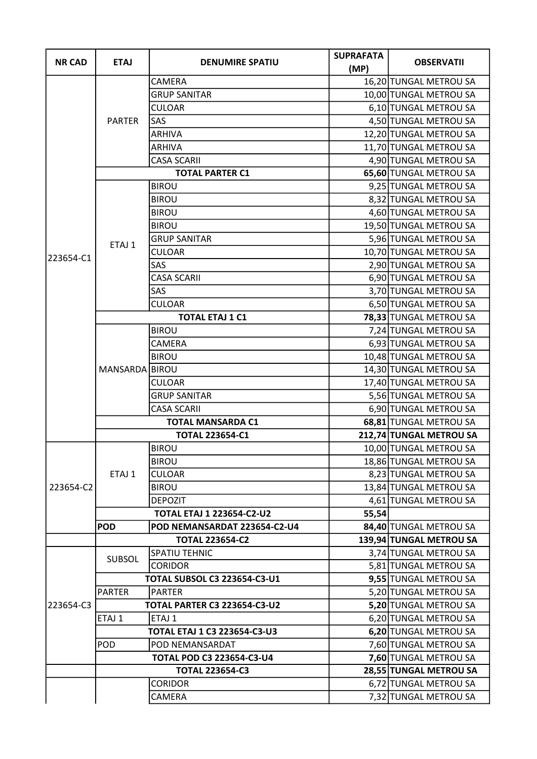| <b>NR CAD</b> | <b>ETAJ</b>            | <b>DENUMIRE SPATIU</b>              | <b>SUPRAFATA</b><br>(MP) | <b>OBSERVATII</b>       |
|---------------|------------------------|-------------------------------------|--------------------------|-------------------------|
|               | <b>PARTER</b>          | <b>CAMERA</b>                       |                          | 16,20 TUNGAL METROU SA  |
|               |                        | <b>GRUP SANITAR</b>                 |                          | 10,00 TUNGAL METROU SA  |
|               |                        | <b>CULOAR</b>                       |                          | 6,10 TUNGAL METROU SA   |
|               |                        | SAS                                 |                          | 4,50 TUNGAL METROU SA   |
|               |                        | <b>ARHIVA</b>                       |                          | 12,20 TUNGAL METROU SA  |
|               |                        | <b>ARHIVA</b>                       |                          | 11,70 TUNGAL METROU SA  |
|               |                        | <b>CASA SCARII</b>                  |                          | 4,90 TUNGAL METROU SA   |
|               | <b>TOTAL PARTER C1</b> |                                     |                          | 65,60 TUNGAL METROU SA  |
|               |                        | <b>BIROU</b>                        |                          | 9,25 TUNGAL METROU SA   |
|               |                        | <b>BIROU</b>                        |                          | 8,32 TUNGAL METROU SA   |
|               |                        | <b>BIROU</b>                        |                          | 4,60 TUNGAL METROU SA   |
|               |                        | <b>BIROU</b>                        |                          | 19,50 TUNGAL METROU SA  |
|               | ETAJ 1                 | <b>GRUP SANITAR</b>                 |                          | 5,96 TUNGAL METROU SA   |
|               |                        | <b>CULOAR</b>                       |                          | 10,70 TUNGAL METROU SA  |
| 223654-C1     |                        | SAS                                 |                          | 2,90 TUNGAL METROU SA   |
|               |                        | <b>CASA SCARII</b>                  |                          | 6,90 TUNGAL METROU SA   |
|               |                        | SAS                                 |                          | 3,70 TUNGAL METROU SA   |
|               |                        | <b>CULOAR</b>                       |                          | 6,50 TUNGAL METROU SA   |
|               |                        | <b>TOTAL ETAJ 1 C1</b>              |                          | 78,33 TUNGAL METROU SA  |
|               |                        | <b>BIROU</b>                        |                          | 7,24 TUNGAL METROU SA   |
|               |                        | <b>CAMERA</b>                       |                          | 6,93 TUNGAL METROU SA   |
|               |                        | <b>BIROU</b>                        |                          | 10,48 TUNGAL METROU SA  |
|               | MANSARDA BIROU         |                                     |                          | 14,30 TUNGAL METROU SA  |
|               |                        | <b>CULOAR</b>                       |                          | 17,40 TUNGAL METROU SA  |
|               |                        | <b>GRUP SANITAR</b>                 |                          | 5,56 TUNGAL METROU SA   |
|               |                        | <b>CASA SCARII</b>                  |                          | 6,90 TUNGAL METROU SA   |
|               |                        | <b>TOTAL MANSARDA C1</b>            |                          | 68,81 TUNGAL METROU SA  |
|               | <b>TOTAL 223654-C1</b> |                                     |                          | 212,74 TUNGAL METROU SA |
|               |                        | <b>BIROU</b>                        |                          | 10,00 TUNGAL METROU SA  |
|               | ETAJ 1                 | <b>BIROU</b>                        |                          | 18,86 TUNGAL METROU SA  |
|               |                        | <b>CULOAR</b>                       |                          | 8,23 TUNGAL METROU SA   |
| 223654-C2     |                        | <b>BIROU</b>                        |                          | 13,84 TUNGAL METROU SA  |
|               |                        | <b>DEPOZIT</b>                      |                          | 4,61 TUNGAL METROU SA   |
|               |                        | <b>TOTAL ETAJ 1 223654-C2-U2</b>    | 55,54                    |                         |
|               | <b>POD</b>             | POD NEMANSARDAT 223654-C2-U4        |                          | 84,40 TUNGAL METROU SA  |
|               |                        | <b>TOTAL 223654-C2</b>              |                          | 139,94 TUNGAL METROU SA |
| 223654-C3     | <b>SUBSOL</b>          | <b>SPATIU TEHNIC</b>                |                          | 3,74 TUNGAL METROU SA   |
|               |                        | <b>CORIDOR</b>                      |                          | 5,81 TUNGAL METROU SA   |
|               |                        | TOTAL SUBSOL C3 223654-C3-U1        |                          | 9,55 TUNGAL METROU SA   |
|               | <b>PARTER</b>          | <b>PARTER</b>                       |                          | 5,20 TUNGAL METROU SA   |
|               |                        | <b>TOTAL PARTER C3 223654-C3-U2</b> |                          | 5,20 TUNGAL METROU SA   |
|               | ETAJ 1                 | ETAJ 1                              |                          | 6,20 TUNGAL METROU SA   |
|               |                        | TOTAL ETAJ 1 C3 223654-C3-U3        |                          | 6,20 TUNGAL METROU SA   |
|               | <b>POD</b>             | POD NEMANSARDAT                     |                          | 7,60 TUNGAL METROU SA   |
|               |                        | TOTAL POD C3 223654-C3-U4           |                          | 7,60 TUNGAL METROU SA   |
|               |                        | <b>TOTAL 223654-C3</b>              |                          | 28,55 TUNGAL METROU SA  |
|               |                        | <b>CORIDOR</b>                      |                          | 6,72 TUNGAL METROU SA   |
|               |                        | CAMERA                              |                          | 7,32 TUNGAL METROU SA   |
|               |                        |                                     |                          |                         |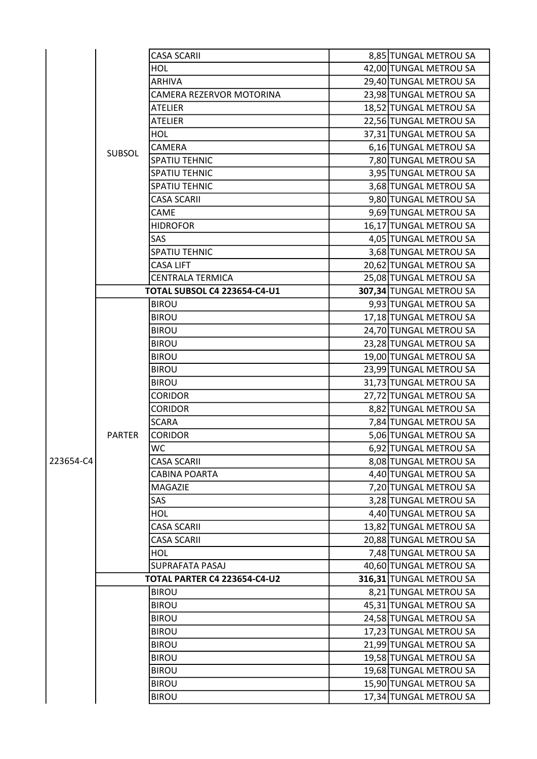|           |                                     | <b>CASA SCARII</b>                  | 8,85 TUNGAL METROU SA                            |
|-----------|-------------------------------------|-------------------------------------|--------------------------------------------------|
|           |                                     | HOL                                 | 42,00 TUNGAL METROU SA                           |
|           |                                     | <b>ARHIVA</b>                       | 29,40 TUNGAL METROU SA                           |
|           |                                     | CAMERA REZERVOR MOTORINA            | 23,98 TUNGAL METROU SA                           |
|           |                                     | ATELIER                             | 18,52 TUNGAL METROU SA                           |
|           | <b>SUBSOL</b>                       | <b>ATELIER</b>                      | 22,56 TUNGAL METROU SA                           |
|           |                                     | <b>HOL</b>                          | 37,31 TUNGAL METROU SA                           |
|           |                                     | CAMERA                              | 6,16 TUNGAL METROU SA                            |
|           |                                     | <b>SPATIU TEHNIC</b>                | 7,80 TUNGAL METROU SA                            |
|           |                                     | <b>SPATIU TEHNIC</b>                | 3,95 TUNGAL METROU SA                            |
|           |                                     | <b>SPATIU TEHNIC</b>                | 3,68 TUNGAL METROU SA                            |
|           |                                     | <b>CASA SCARII</b>                  | 9,80 TUNGAL METROU SA                            |
|           |                                     | CAME                                | 9,69 TUNGAL METROU SA                            |
|           |                                     | <b>HIDROFOR</b>                     | 16,17 TUNGAL METROU SA                           |
|           |                                     | <b>SAS</b>                          | 4,05 TUNGAL METROU SA                            |
|           |                                     | <b>SPATIU TEHNIC</b>                | 3,68 TUNGAL METROU SA                            |
|           |                                     | <b>CASA LIFT</b>                    | 20,62 TUNGAL METROU SA                           |
|           |                                     | <b>CENTRALA TERMICA</b>             | 25,08 TUNGAL METROU SA                           |
|           |                                     | <b>TOTAL SUBSOL C4 223654-C4-U1</b> | 307,34 TUNGAL METROU SA                          |
|           |                                     | <b>BIROU</b>                        | 9,93 TUNGAL METROU SA                            |
|           |                                     | <b>BIROU</b>                        | 17,18 TUNGAL METROU SA                           |
|           |                                     | <b>BIROU</b>                        | 24,70 TUNGAL METROU SA                           |
|           |                                     | <b>BIROU</b>                        | 23,28 TUNGAL METROU SA                           |
|           |                                     | <b>BIROU</b>                        |                                                  |
|           |                                     | <b>BIROU</b>                        | 19,00 TUNGAL METROU SA<br>23,99 TUNGAL METROU SA |
|           |                                     |                                     |                                                  |
|           |                                     | <b>BIROU</b>                        | 31,73 TUNGAL METROU SA                           |
|           |                                     | <b>CORIDOR</b>                      | 27,72 TUNGAL METROU SA                           |
|           |                                     | <b>CORIDOR</b>                      | 8,82 TUNGAL METROU SA                            |
|           |                                     | <b>SCARA</b>                        | 7,84 TUNGAL METROU SA                            |
|           | <b>PARTER</b>                       | <b>CORIDOR</b>                      | 5,06 TUNGAL METROU SA                            |
|           |                                     | <b>WC</b>                           | 6,92 TUNGAL METROU SA                            |
| 223654-C4 |                                     | <b>CASA SCARII</b>                  | 8,08 TUNGAL METROU SA                            |
|           |                                     | <b>CABINA POARTA</b>                | 4,40 TUNGAL METROU SA                            |
|           |                                     | MAGAZIE                             | 7,20 TUNGAL METROU SA                            |
|           |                                     | SAS                                 | 3,28 TUNGAL METROU SA                            |
|           |                                     | HOL                                 | 4,40 TUNGAL METROU SA                            |
|           |                                     | <b>CASA SCARII</b>                  | 13,82 TUNGAL METROU SA                           |
|           |                                     | <b>CASA SCARII</b>                  | 20,88 TUNGAL METROU SA                           |
|           |                                     | HOL                                 | 7,48 TUNGAL METROU SA                            |
|           |                                     | SUPRAFATA PASAJ                     | 40,60 TUNGAL METROU SA                           |
|           | <b>TOTAL PARTER C4 223654-C4-U2</b> |                                     | 316,31 TUNGAL METROU SA                          |
|           |                                     | <b>BIROU</b>                        | 8,21 TUNGAL METROU SA                            |
|           |                                     | <b>BIROU</b>                        | 45,31 TUNGAL METROU SA                           |
|           |                                     | <b>BIROU</b>                        | 24,58 TUNGAL METROU SA                           |
|           |                                     | <b>BIROU</b>                        | 17,23 TUNGAL METROU SA                           |
|           |                                     | <b>BIROU</b>                        | 21,99 TUNGAL METROU SA                           |
|           |                                     | <b>BIROU</b>                        | 19,58 TUNGAL METROU SA                           |
|           |                                     | <b>BIROU</b>                        | 19,68 TUNGAL METROU SA                           |
|           |                                     | <b>BIROU</b>                        | 15,90 TUNGAL METROU SA                           |
|           |                                     | <b>BIROU</b>                        | 17,34 TUNGAL METROU SA                           |